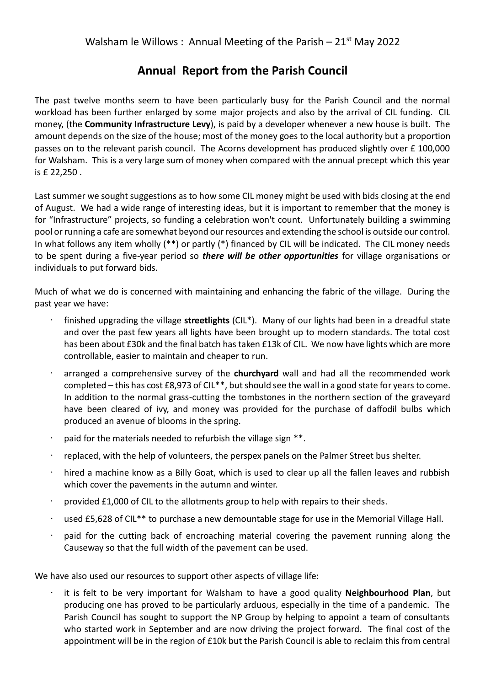## **Annual Report from the Parish Council**

The past twelve months seem to have been particularly busy for the Parish Council and the normal workload has been further enlarged by some major projects and also by the arrival of CIL funding. CIL money, (the **Community Infrastructure Levy**), is paid by a developer whenever a new house is built. The amount depends on the size of the house; most of the money goes to the local authority but a proportion passes on to the relevant parish council. The Acorns development has produced slightly over £ 100,000 for Walsham. This is a very large sum of money when compared with the annual precept which this year is £ 22,250 .

Last summer we sought suggestions as to how some CIL money might be used with bids closing at the end of August. We had a wide range of interesting ideas, but it is important to remember that the money is for "Infrastructure" projects, so funding a celebration won't count. Unfortunately building a swimming pool or running a cafe are somewhat beyond our resources and extending the school is outside our control. In what follows any item wholly (\*\*) or partly (\*) financed by CIL will be indicated. The CIL money needs to be spent during a five-year period so *there will be other opportunities* for village organisations or individuals to put forward bids.

Much of what we do is concerned with maintaining and enhancing the fabric of the village. During the past year we have:

- finished upgrading the village **streetlights** (CIL\*). Many of our lights had been in a dreadful state and over the past few years all lights have been brought up to modern standards. The total cost has been about £30k and the final batch has taken £13k of CIL. We now have lights which are more controllable, easier to maintain and cheaper to run.
- arranged a comprehensive survey of the **churchyard** wall and had all the recommended work completed – this has cost £8,973 of CIL\*\*, but should see the wall in a good state for years to come. In addition to the normal grass-cutting the tombstones in the northern section of the graveyard have been cleared of ivy, and money was provided for the purchase of daffodil bulbs which produced an avenue of blooms in the spring.
- paid for the materials needed to refurbish the village sign \*\*.
- replaced, with the help of volunteers, the perspex panels on the Palmer Street bus shelter.
- hired a machine know as a Billy Goat, which is used to clear up all the fallen leaves and rubbish which cover the pavements in the autumn and winter.
- provided £1,000 of CIL to the allotments group to help with repairs to their sheds.
- used £5,628 of CIL\*\* to purchase a new demountable stage for use in the Memorial Village Hall.
- paid for the cutting back of encroaching material covering the pavement running along the Causeway so that the full width of the pavement can be used.

We have also used our resources to support other aspects of village life:

• it is felt to be very important for Walsham to have a good quality **Neighbourhood Plan**, but producing one has proved to be particularly arduous, especially in the time of a pandemic. The Parish Council has sought to support the NP Group by helping to appoint a team of consultants who started work in September and are now driving the project forward. The final cost of the appointment will be in the region of £10k but the Parish Council is able to reclaim this from central